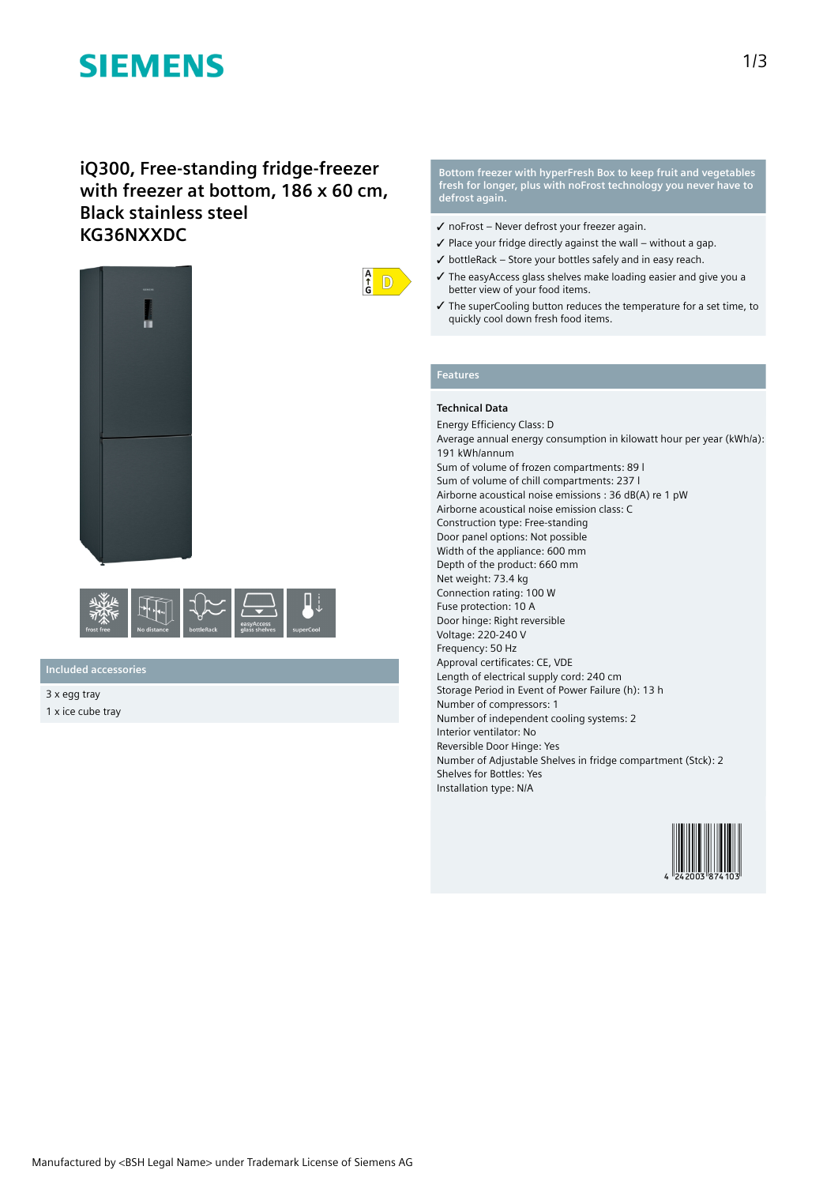# **SIEMENS**

# **iQ300, Free-standing fridge-freezer with freezer at bottom, 186 x 60 cm, Black stainless steel KG36NXXDC**





**Included accessories**

3 x egg tray 1 x ice cube tray

### **Bottom freezer with hyperFresh Box to keep fruit and vegetables fresh for longer, plus with noFrost technology you never have to defrost again.**

- ✓ noFrost Never defrost your freezer again.
- $\checkmark$  Place your fridge directly against the wall without a gap.
- $\checkmark$  bottleRack Store your bottles safely and in easy reach.
- ✓ The easyAccess glass shelves make loading easier and give you a better view of your food items.
- ✓ The superCooling button reduces the temperature for a set time, to quickly cool down fresh food items.

# **Features**

 $\frac{A}{f}$ D

# **Technical Data**

Energy Efficiency Class: D Average annual energy consumption in kilowatt hour per year (kWh/a): 191 kWh/annum Sum of volume of frozen compartments: 89 l Sum of volume of chill compartments: 237 l Airborne acoustical noise emissions : 36 dB(A) re 1 pW Airborne acoustical noise emission class: C Construction type: Free-standing Door panel options: Not possible Width of the appliance: 600 mm Depth of the product: 660 mm Net weight: 73.4 kg Connection rating: 100 W Fuse protection: 10 A Door hinge: Right reversible Voltage: 220-240 V Frequency: 50 Hz Approval certificates: CE, VDE Length of electrical supply cord: 240 cm Storage Period in Event of Power Failure (h): 13 h Number of compressors: 1 Number of independent cooling systems: 2 Interior ventilator: No Reversible Door Hinge: Yes Number of Adjustable Shelves in fridge compartment (Stck): 2 Shelves for Bottles: Yes Installation type: N/A

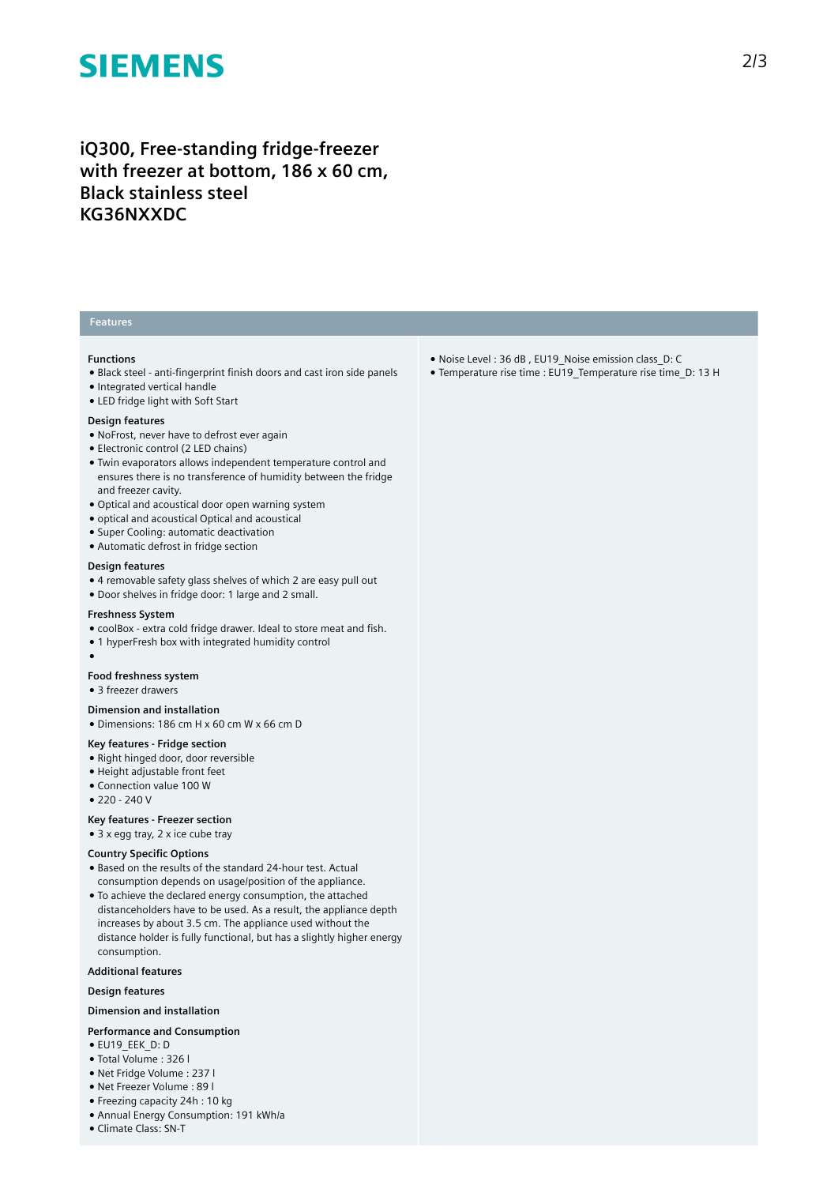# **SIEMENS**

# **iQ300, Free-standing fridge-freezer with freezer at bottom, 186 x 60 cm, Black stainless steel KG36NXXDC**

# **Features**

### **Functions**

- Black steel anti-fingerprint finish doors and cast iron side panels
- Integrated vertical handle
- LED fridge light with Soft Start

### **Design features**

- NoFrost, never have to defrost ever again
- Electronic control (2 LED chains)
- Twin evaporators allows independent temperature control and ensures there is no transference of humidity between the fridge and freezer cavity.
- Optical and acoustical door open warning system
- optical and acoustical Optical and acoustical
- Super Cooling: automatic deactivation
- Automatic defrost in fridge section

## **Design features**

- 4 removable safety glass shelves of which 2 are easy pull out
- Door shelves in fridge door: 1 large and 2 small.

#### **Freshness System**

- coolBox extra cold fridge drawer. Ideal to store meat and fish.
- 1 hyperFresh box with integrated humidity control
- ●

# **Food freshness system**

● 3 freezer drawers

### **Dimension and installation**

● Dimensions: 186 cm H x 60 cm W x 66 cm D

# **Key features - Fridge section**

- Right hinged door, door reversible
- Height adjustable front feet
- Connection value 100 W
- $220 240V$

## **Key features - Freezer section**

● 3 x egg tray, 2 x ice cube tray

## **Country Specific Options**

- Based on the results of the standard 24-hour test. Actual consumption depends on usage/position of the appliance.
- To achieve the declared energy consumption, the attached distanceholders have to be used. As a result, the appliance depth increases by about 3.5 cm. The appliance used without the distance holder is fully functional, but has a slightly higher energy consumption.

### **Additional features**

# **Design features**

# **Dimension and installation**

#### **Performance and Consumption**

- EU19\_EEK\_D: D
- Total Volume : 326 l
- Net Fridge Volume : 237 l
- Net Freezer Volume : 89 l
- Freezing capacity 24h : 10 kg
- Annual Energy Consumption: 191 kWh/a
- Climate Class: SN-T
- Noise Level : 36 dB , EU19\_Noise emission class\_D: C
- Temperature rise time : EU19\_Temperature rise time\_D: 13 H